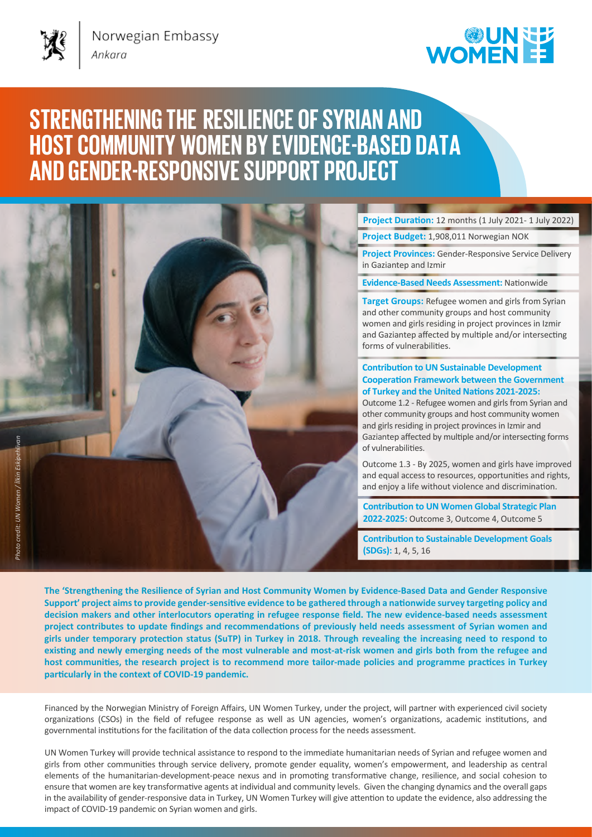Norwegian Embassy

## **WOMENEE**

## **STRENGTHENING THE RESILIENCE OF SYRIAN AND HOST COMMUNITY WOMEN BY EVIDENCE-BASED DATA AND GENDER-RESPONSIVESUPPORT PROJECT**

**Project Duration:** 12 months (1 July 2021- 1 July 2022)

**Project Budget:** 1,908,011 Norwegian NOK

**Project Provinces:** Gender-Responsive Service Delivery in Gaziantep and Izmir

**Evidence-Based Needs Assessment:** Nationwide

**Target Groups:** Refugee women and girls from Syrian and other community groups and host community women and girls residing in project provinces in Izmir and Gaziantep affected by multiple and/or intersecting forms of vulnerabilities.

## **Contribution to UN Sustainable Development Cooperation Framework between the Government of Turkey and the United Nations 2021-2025:**

Outcome 1.2 - Refugee women and girls from Syrian and other community groups and host community women and girls residing in project provinces in Izmir and Gaziantep affected by multiple and/or intersecting forms of vulnerabilities.

Outcome 1.3 - By 2025, women and girls have improved and equal access to resources, opportunities and rights, and enjoy a life without violence and discrimination.

**Contribution to UN Women Global Strategic Plan 2022-2025:** Outcome 3, Outcome 4, Outcome 5

**Contribution to Sustainable Development Goals (SDGs):** 1, 4, 5, 16

**The 'Strengthening the Resilience of Syrian and Host Community Women by Evidence-Based Data and Gender Responsive Support' project aims to provide gender-sensitive evidence to be gathered through a nationwide survey targeting policy and decision makers and other interlocutors operating in refugee response field. The new evidence-based needs assessment project contributes to update findings and recommendations of previously held needs assessment of Syrian women and girls under temporary protection status (SuTP) in Turkey in 2018. Through revealing the increasing need to respond to existing and newly emerging needs of the most vulnerable and most-at-risk women and girls both from the refugee and host communities, the research project is to recommend more tailor-made policies and programme practices in Turkey particularly in the context of COVID-19 pandemic.** 

Financed by the Norwegian Ministry of Foreign Affairs, UN Women Turkey, under the project, will partner with experienced civil society organizations (CSOs) in the field of refugee response as well as UN agencies, women's organizations, academic institutions, and governmental institutions for the facilitation of the data collection process for the needs assessment.

UN Women Turkey will provide technical assistance to respond to the immediate humanitarian needs of Syrian and refugee women and girls from other communities through service delivery, promote gender equality, women's empowerment, and leadership as central elements of the humanitarian-development-peace nexus and in promoting transformative change, resilience, and social cohesion to ensure that women are key transformative agents at individual and community levels. Given the changing dynamics and the overall gaps in the availability of gender-responsive data in Turkey, UN Women Turkey will give attention to update the evidence, also addressing the impact of COVID-19 pandemic on Syrian women and girls.